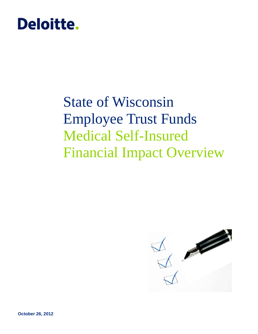

# State of Wisconsin Employee Trust Funds Medical Self-Insured Financial Impact Overview

<span id="page-0-0"></span>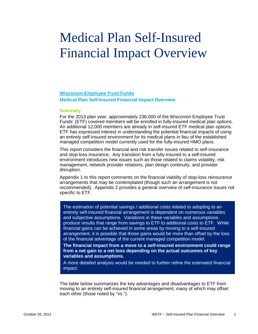# Medical Plan Self-Insured Financial Impact Overview

# **Wisconsin Employee Trust Funds Medical Plan Self-Insured Financial Impact Overview**

#### **Summary**

For the 2013 plan year, approximately 236,000 of the Wisconsin Employee Trust Funds' (ETF) covered members will be enrolled in fully-insured medical plan options. An additional 12,000 members are already in self-insured ETF medical plan options. ETF has expressed interest in understanding the potential financial impacts of using an entirely self-insured environment for its medical plans in lieu of the established managed competition model currently used for the fully-insured HMO plans.

This report considers the financial and risk transfer issues related to self-insurance and stop-loss insurance. Any transition from a fully-insured to a self-insured environment introduces new issues such as those related to claims volatility, risk management, network provider relations, plan design continuity, and provider disruption.

Appendix 1 to this report comments on the financial viability of stop-loss reinsurance arrangements that may be contemplated (though such an arrangement is not recommended). Appendix 2 provides a general overview of self-insurance issues not specific to ETF.

The estimation of potential savings / additional costs related to adopting to an entirely self-insured financial arrangement is dependent on numerous variables and subjective assumptions. Variations in these variables and assumptions produce results that range from savings to ETF to additional costs to ETF. While financial gains can be achieved in some areas by moving to a self-insured arrangement, it is possible that those gains would be more than offset by the loss of the financial advantage of the current managed competition model.

**The financial impact from a move to a self-insured environment could range from a net gain to a net loss depending on the actual outcomes of key variables and assumptions.**

A more detailed analysis would be needed to further refine the estimated financial impact.

The table below summarizes the key advantages and disadvantages to ETF from moving to an entirely self-insured financial arrangement, many of which may offset each other (those noted by "vs.").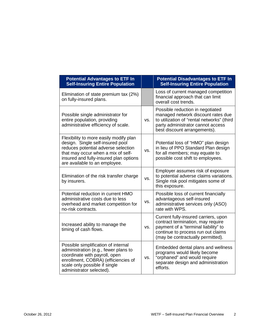| <b>Potential Advantages to ETF In</b><br><b>Self-Insuring Entire Population</b>                                                                                                                                                    |     | <b>Potential Disadvantages to ETF In</b><br><b>Self-Insuring Entire Population</b>                                                                                                           |
|------------------------------------------------------------------------------------------------------------------------------------------------------------------------------------------------------------------------------------|-----|----------------------------------------------------------------------------------------------------------------------------------------------------------------------------------------------|
| Elimination of state premium tax (2%)<br>on fully-insured plans.                                                                                                                                                                   |     | Loss of current managed competition<br>financial approach that can limit<br>overall cost trends.                                                                                             |
| Possible single administrator for<br>entire population, providing<br>administrative efficiency of scale.                                                                                                                           | VS. | Possible reduction in negotiated<br>managed network discount rates due<br>to utilization of "rental networks" (third<br>party administrator cannot access<br>best discount arrangements).    |
| Flexibility to more easily modify plan<br>design. Single self-insured pool<br>reduces potential adverse selection<br>that may occur when a mix of self-<br>insured and fully-insured plan options<br>are available to an employee. | VS. | Potential loss of "HMO" plan design<br>in lieu of PPO Standard Plan design<br>for all members; may equate to<br>possible cost shift to employees.                                            |
| Elimination of the risk transfer charge<br>by insurers.                                                                                                                                                                            | VS. | Employer assumes risk of exposure<br>to potential adverse claims variations.<br>Single risk pool mitigates some of<br>this exposure.                                                         |
| Potential reduction in current HMO<br>administrative costs due to less<br>overhead and market competition for<br>no-risk contracts.                                                                                                | VS. | Possible loss of current financially<br>advantageous self-insured<br>administrative services only (ASO)<br>rate with WPS.                                                                    |
| Increased ability to manage the<br>timing of cash flows.                                                                                                                                                                           | VS. | Current fully-insured carriers, upon<br>contract termination, may require<br>payment of a "terminal liability" to<br>continue to process run out claims<br>(may be contractually permitted). |
| Possible simplification of internal<br>administration (e.g., fewer plans to<br>coordinate with payroll, open<br>enrollment, COBRA) (efficiencies of<br>scale only possible if single<br>administrator selected).                   | VS. | Embedded dental plans and wellness<br>programs would likely become<br>"orphaned" and would require<br>separate design and administration<br>efforts.                                         |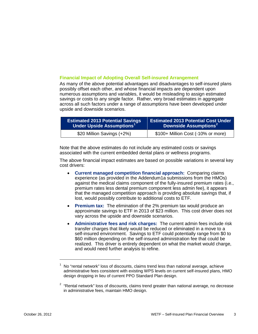#### **Financial Impact of Adopting Overall Self-insured Arrangement**

As many of the above potential advantages and disadvantages to self-insured plans possibly offset each other, and whose financial impacts are dependent upon numerous assumptions and variables, it would be misleading to assign estimated savings or costs to any single factor. Rather, very broad estimates in aggregate across all such factors under a range of assumptions have been developed under upside and downside scenarios.

| <b>Estimated 2013 Potential Savings</b> | <b>Estimated 2013 Potential Cost Under</b> |  |  |  |
|-----------------------------------------|--------------------------------------------|--|--|--|
| Under Upside Assumptions <sup>1</sup>   | Downside Assumptions <sup>2</sup>          |  |  |  |
| \$20 Million Savings (+2%)              | \$100+ Million Cost (-10% or more)         |  |  |  |

Note that the above estimates do not include any estimated costs or savings associated with the current embedded dental plans or wellness programs.

The above financial impact estimates are based on possible variations in several key cost drivers:

- **Current managed competition financial approach:** Comparing claims experience (as provided in the Addendum1a submissions from the HMOs) against the medical claims component of the fully-insured premium rates (i.e., premium rates less dental premium component less admin fee), it appears that the managed competition approach is providing absolute savings that, if lost, would possibly contribute to additional costs to ETF.
- **Premium tax:** The elimination of the 2% premium tax would produce an approximate savings to ETF in 2013 of \$23 million. This cost driver does not vary across the upside and downside scenarios.
- **Administrative fees and risk charges:** The current admin fees include risk transfer charges that likely would be reduced or eliminated in a move to a self-insured environment. Savings to ETF could potentially range from \$0 to \$60 million depending on the self-insured administration fee that could be realized. This driver is entirely dependent on what the market would charge, and would need further analysis to refine.

l

 $<sup>1</sup>$  No "rental network" loss of discounts, claims trend less than national average, achieve</sup> administrative fees consistent with existing WPS levels on current self-insured plans, HMO design dropping in lieu of current PPO Standard Plan design.

<span id="page-3-1"></span><span id="page-3-0"></span> $2$  "Rental network" loss of discounts, claims trend greater than national average, no decrease in administrative fees, maintain HMO design.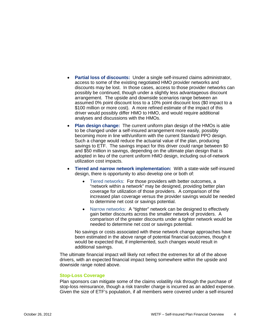- **Partial loss of discounts:** Under a single self-insured claims administrator, access to some of the existing negotiated HMO provider networks and discounts may be lost. In those cases, access to those provider networks can possibly be continued, though under a slightly less advantageous discount arrangement. The upside and downside scenarios range between an assumed 0% point discount loss to a 10% point discount loss (\$0 impact to a \$100 million or more cost). A more refined estimate of the impact of this driver would possibly differ HMO to HMO, and would require additional analyses and discussions with the HMOs.
- **Plan design change:** The current uniform plan design of the HMOs is able to be changed under a self-insured arrangement more easily, possibly becoming more in line with/uniform with the current Standard PPO design. Such a change would reduce the actuarial value of the plan, producing savings to ETF. The savings impact for this driver could range between \$0 and \$50 million in savings, depending on the ultimate plan design that is adopted in lieu of the current uniform HMO design, including out-of-network utilization cost impacts.
- **Tiered and narrow network implementation:** With a state-wide self-insured design, there is opportunity to also develop one or both of:
	- Tiered networks: For those providers with better outcomes, a "network within a network" may be designed, providing better plan coverage for utilization of those providers. A comparison of the increased plan coverage versus the provider savings would be needed to determine net cost or savings potential.
	- Narrow networks: A "tighter" network can be designed to effectively gain better discounts across the smaller network of providers. A comparison of the greater discounts under a tighter network would be needed to determine net cost or savings potential.

No savings or costs associated with these network change approaches have been estimated in the above range of potential financial outcomes, though it would be expected that, if implemented, such changes would result in additional savings.

The ultimate financial impact will likely not reflect the extremes for all of the above drivers, with an expected financial impact being somewhere within the upside and downside range noted above.

#### **Stop-Loss Coverage**

Plan sponsors can mitigate some of the claims volatility risk through the purchase of stop-loss reinsurance, though a risk transfer charge is incurred as an added expense. Given the size of ETF's population, if all members were covered under a self-insured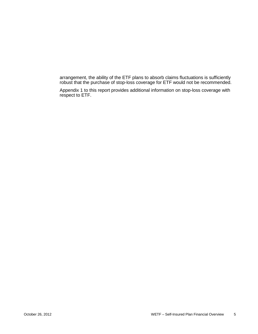arrangement, the ability of the ETF plans to absorb claims fluctuations is sufficiently robust that the purchase of stop-loss coverage for ETF would not be recommended.

Appendix 1 to this report provides additional information on stop-loss coverage with respect to ETF.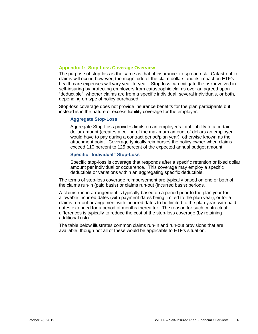## **Appendix 1: Stop-Loss Coverage Overview**

The purpose of stop-loss is the same as that of insurance: to spread risk. Catastrophic claims will occur; however, the magnitude of the claim dollars and its impact on ETF's health care expenses will vary year-to-year. Stop-loss can mitigate the risk involved in self-insuring by protecting employers from catastrophic claims over an agreed upon "deductible", whether claims are from a specific individual, several individuals, or both, depending on type of policy purchased.

Stop-loss coverage does not provide insurance benefits for the plan participants but instead is in the nature of excess liability coverage for the employer.

#### **Aggregate Stop-Loss**

Aggregate Stop-Loss provides limits on an employer's total liability to a certain dollar amount (creates a ceiling of the maximum amount of dollars an employer would have to pay during a contract period/plan year), otherwise known as the attachment point. Coverage typically reimburses the policy owner when claims exceed 110 percent to 125 percent of the expected annual budget amount.

### **Specific "Individual" Stop-Loss**

Specific stop-loss is coverage that responds after a specific retention or fixed dollar amount per individual or occurrence. This coverage may employ a specific deductible or variations within an aggregating specific deductible.

The terms of stop-loss coverage reimbursement are typically based on one or both of the claims run-in (paid basis) or claims run-out (incurred basis) periods.

A claims run-in arrangement is typically based on a period prior to the plan year for allowable incurred dates (with payment dates being limited to the plan year), or for a claims run-out arrangement with incurred dates to be limited to the plan year, with paid dates extended for a period of months thereafter. The reason for such contractual differences is typically to reduce the cost of the stop-loss coverage (by retaining additional risk).

The table below illustrates common claims run-in and run-out provisions that are available, though not all of these would be applicable to ETF's situation.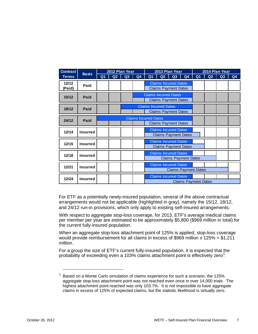| <b>Contract</b> |                 | 2012 Plan Year<br><b>Basis</b> |    | 2013 Plan Year |                              |                |                              | 2014 Plan Year                                              |                             |                |    |    |    |
|-----------------|-----------------|--------------------------------|----|----------------|------------------------------|----------------|------------------------------|-------------------------------------------------------------|-----------------------------|----------------|----|----|----|
| <b>Terms</b>    |                 | Q <sub>1</sub>                 | Q2 | Q3             | Q4                           | Q <sub>1</sub> | Q2                           | Q3                                                          | Q <sub>4</sub>              | Q <sub>1</sub> | Q2 | Q3 | Q4 |
| 12/12<br>(Paid) | Paid            |                                |    |                |                              |                |                              | <b>Claims Incurred Dates</b><br><b>Claims Payment Dates</b> |                             |                |    |    |    |
| 15/12           | Paid            |                                |    |                |                              |                |                              | <b>Claims Incurred Dates</b><br><b>Claims Payment Dates</b> |                             |                |    |    |    |
| 18/12           | Paid            |                                |    |                |                              |                | <b>Claims Incurred Dates</b> | <b>Claims Payment Dates</b>                                 |                             |                |    |    |    |
| 24/12           | Paid            |                                |    |                | <b>Claims Incurred Dates</b> |                |                              | <b>Claims Payment Dates</b>                                 |                             |                |    |    |    |
| 12/14           | <b>Incurred</b> |                                |    |                |                              |                |                              | <b>Claims Incurred Dates</b><br><b>Claims Payment Dates</b> |                             |                |    |    |    |
| 12/15           | <b>Incurred</b> |                                |    |                |                              |                |                              | <b>Claims Incurred Dates</b><br><b>Claims Payment Dates</b> |                             |                |    |    |    |
| 12/18           | <b>Incurred</b> |                                |    |                |                              |                |                              | <b>Claims Incurred Dates</b><br><b>Claims Payment Dates</b> |                             |                |    |    |    |
| 12/21           | <b>Incurred</b> |                                |    |                |                              |                |                              | <b>Claims Incurred Dates</b><br><b>Claims Payment Dates</b> |                             |                |    |    |    |
| 12/24           | <b>Incurred</b> |                                |    |                |                              |                |                              | <b>Claims Incurred Dates</b>                                | <b>Claims Payment Dates</b> |                |    |    |    |

For ETF as a potentially newly-insured population, several of the above contractual arrangements would not be applicable (highlighted in gray), namely the 15/12, 18/12, and 24/12 run-in provisions, which only apply to existing self-insured arrangements.

With respect to aggregate stop-loss coverage, for 2013, ETF's average medical claims per member per year are estimated to be approximately \$5,800 (\$969 million in total) for the current fully-insured population.

When an aggregate stop-loss attachment point of 125% is applied, stop-loss coverage would provide reimbursement for all claims in excess of \$969 million x 125% = \$1,211 million.

For a group the size of ETF's current fully-insured population, it is expected that the probability of exceeding even a 10[3](#page-3-1)% claims attachment point is effectively zero<sup>3</sup>.

 $\overline{a}$ 

<sup>&</sup>lt;sup>3</sup> Based on a Monte Carlo simulation of claims experience for such a scenario, the 125% aggregate stop-loss attachment point was not reached even once in over 14,000 trials. The highest attachment point reached was only 103.7%. It is not impossible to have aggregate claims in excess of 125% of expected claims, but the statistic likelihood is virtually zero.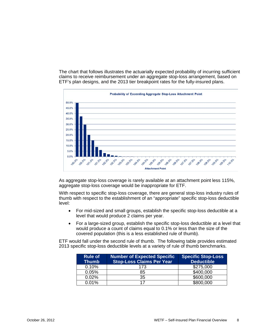The chart that follows illustrates the actuarially expected probability of incurring sufficient claims to receive reimbursement under an aggregate stop-loss arrangement, based on ETF's plan designs, and the 2013 tier breakpoint rates for the fully-insured plans.



As aggregate stop-loss coverage is rarely available at an attachment point less 115%, aggregate stop-loss coverage would be inappropriate for ETF.

With respect to specific stop-loss coverage, there are general stop-loss industry rules of thumb with respect to the establishment of an "appropriate" specific stop-loss deductible level:

- For mid-sized and small groups, establish the specific stop-loss deductible at a level that would produce 2 claims per year.
- For a large-sized group, establish the specific stop-loss deductible at a level that would produce a count of claims equal to 0.1% or less than the size of the covered population (this is a less established rule of thumb).

ETF would fall under the second rule of thumb. The following table provides estimated 2013 specific stop-loss deductible levels at a variety of rule of thumb benchmarks.

| <b>Rule of</b><br><b>Thumb</b> | <b>Number of Expected Specific</b><br><b>Stop-Loss Claims Per Year</b> | <b>Specific Stop-Loss</b><br><b>Deductible</b> |
|--------------------------------|------------------------------------------------------------------------|------------------------------------------------|
| 0.10%                          | 173                                                                    | \$275,000                                      |
| 0.05%                          | 85                                                                     | \$400,000                                      |
| 0.02%                          | 35                                                                     | \$600,000                                      |
| 0.01%                          | 17                                                                     | \$800,000                                      |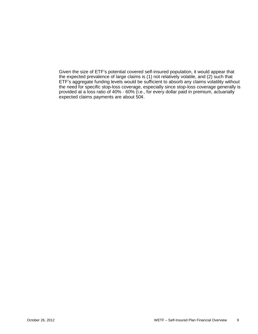Given the size of ETF's potential covered self-insured population, it would appear that the expected prevalence of large claims is (1) not relatively volatile, and (2) such that ETF's aggregate funding levels would be sufficient to absorb any claims volatility without the need for specific stop-loss coverage, especially since stop-loss coverage generally is provided at a loss ratio of 40% - 60% (i.e., for every dollar paid in premium, actuarially expected claims payments are about 50¢.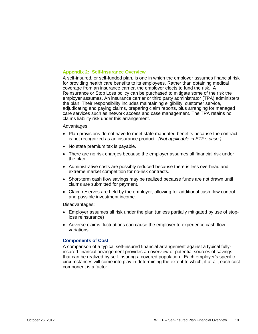#### **Appendix 2: Self-Insurance Overview**

A self-insured, or self-funded plan, is one in which the employer assumes financial risk for providing health care benefits to its employees. Rather than obtaining medical coverage from an insurance carrier, the employer elects to fund the risk. A Reinsurance or Stop Loss policy can be purchased to mitigate some of the risk the employer assumes. An insurance carrier or third party administrator (TPA) administers the plan. Their responsibility includes maintaining eligibility, customer service, adjudicating and paying claims, preparing claim reports, plus arranging for managed care services such as network access and case management. The TPA retains no claims liability risk under this arrangement.

#### Advantages:

- Plan provisions do not have to meet state mandated benefits because the contract is not recognized as an insurance product. *(Not applicable in ETF's case.)*
- No state premium tax is payable.
- There are no risk charges because the employer assumes all financial risk under the plan.
- Administrative costs are possibly reduced because there is less overhead and extreme market competition for no-risk contracts.
- Short-term cash flow savings may be realized because funds are not drawn until claims are submitted for payment.
- Claim reserves are held by the employer, allowing for additional cash flow control and possible investment income.

Disadvantages:

- Employer assumes all risk under the plan (unless partially mitigated by use of stoploss reinsurance)
- Adverse claims fluctuations can cause the employer to experience cash flow variations.

#### **Components of Cost**

A comparison of a typical self-insured financial arrangement against a typical fullyinsured financial arrangement provides an overview of potential sources of savings that can be realized by self-insuring a covered population. Each employer's specific circumstances will come into play in determining the extent to which, if at all, each cost component is a factor.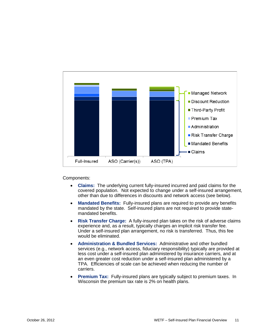

Components:

- **Claims:** The underlying current fully-insured incurred and paid claims for the covered population. Not expected to change under a self-insured arrangement, other than due to differences in discounts and network access (see below).
- **Mandated Benefits:** Fully-insured plans are required to provide any benefits mandated by the state. Self-insured plans are not required to provide statemandated benefits.
- **Risk Transfer Charge:** A fully-insured plan takes on the risk of adverse claims experience and, as a result, typically charges an implicit risk transfer fee. Under a self-insured plan arrangement, no risk is transferred. Thus, this fee would be eliminated.
- **Administration & Bundled Services:** Administrative and other bundled services (e.g., network access, fiduciary responsibility) typically are provided at less cost under a self-insured plan administered by insurance carriers, and at an even greater cost reduction under a self-insured plan administered by a TPA. Efficiencies of scale can be achieved when reducing the number of carriers.
- **Premium Tax:** Fully-insured plans are typically subject to premium taxes. In Wisconsin the premium tax rate is 2% on health plans.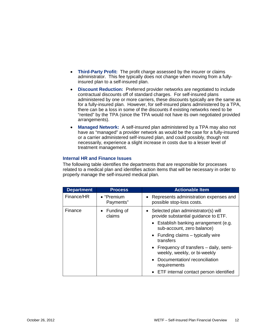- **Third-Party Profit:** The profit charge assessed by the insurer or claims administrator. This fee typically does not change when moving from a fullyinsured plan to a self-insured plan.
- **Discount Reduction:** Preferred provider networks are negotiated to include contractual discounts off of standard charges. For self-insured plans administered by one or more carriers, these discounts typically are the same as for a fully-insured plan. However, for self-insured plans administered by a TPA, there can be a loss in some of the discounts if existing networks need to be "rented" by the TPA (since the TPA would not have its own negotiated provided arrangements).
- **Managed Network:** A self-insured plan administered by a TPA may also not have as "managed" a provider network as would be the case for a fully-insured or a carrier administered self-insured plan, and could possibly, though not necessarily, experience a slight increase in costs due to a lesser level of treatment management.

# **Internal HR and Finance Issues**

The following table identifies the departments that are responsible for processes related to a medical plan and identifies action items that will be necessary in order to properly manage the self-insured medical plan.

| <b>Department</b> | <b>Process</b>                  | <b>Actionable Item</b>                                                        |
|-------------------|---------------------------------|-------------------------------------------------------------------------------|
| Finance/HR        | $\bullet$ "Premium<br>Payments" | • Represents administration expenses and<br>possible stop-loss costs.         |
| Finance           | Funding of<br>claims            | • Selected plan administrator(s) will<br>provide substantial guidance to ETF. |
|                   |                                 | • Establish banking arrangement (e.g.<br>sub-account, zero balance)           |
|                   |                                 | • Funding claims $-$ typically wire<br>transfers                              |
|                   |                                 | • Frequency of transfers – daily, semi-<br>weekly, weekly, or bi-weekly       |
|                   |                                 | Documentation/reconciliation<br>requirements                                  |
|                   |                                 | • ETF internal contact person identified                                      |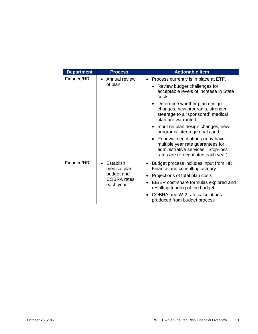| <b>Department</b> | <b>Process</b>                                                             | <b>Actionable Item</b>                                                                                                                          |  |  |                                 |
|-------------------|----------------------------------------------------------------------------|-------------------------------------------------------------------------------------------------------------------------------------------------|--|--|---------------------------------|
| Finance/HR        | Annual review                                                              | Process currently is in place at ETF.                                                                                                           |  |  |                                 |
|                   | of plan                                                                    | Review budget challenges for<br>acceptable levels of increase in State<br>costs                                                                 |  |  |                                 |
|                   |                                                                            | • Determine whether plan design<br>changes, new programs, stronger<br>steerage to a "sponsored" medical<br>plan are warranted                   |  |  |                                 |
|                   |                                                                            | Input on plan design changes, new<br>programs, steerage goals and                                                                               |  |  |                                 |
|                   |                                                                            | Renewal negotiations (may have<br>multiple year rate guarantees for<br>administrative services. Stop-loss<br>rates are re-negotiated each year) |  |  |                                 |
| Finance/HR        | Establish<br>medical plan<br>budget and<br><b>COBRA</b> rates<br>each year | Budget process includes input from HR,<br>Finance and consulting actuary                                                                        |  |  |                                 |
|                   |                                                                            |                                                                                                                                                 |  |  | Projections of total plan costs |
|                   |                                                                            | EE/ER cost-share formulas explored and<br>resulting funding of the budget                                                                       |  |  |                                 |
|                   |                                                                            | COBRA and W-2 rate calculations<br>produced from budget process                                                                                 |  |  |                                 |